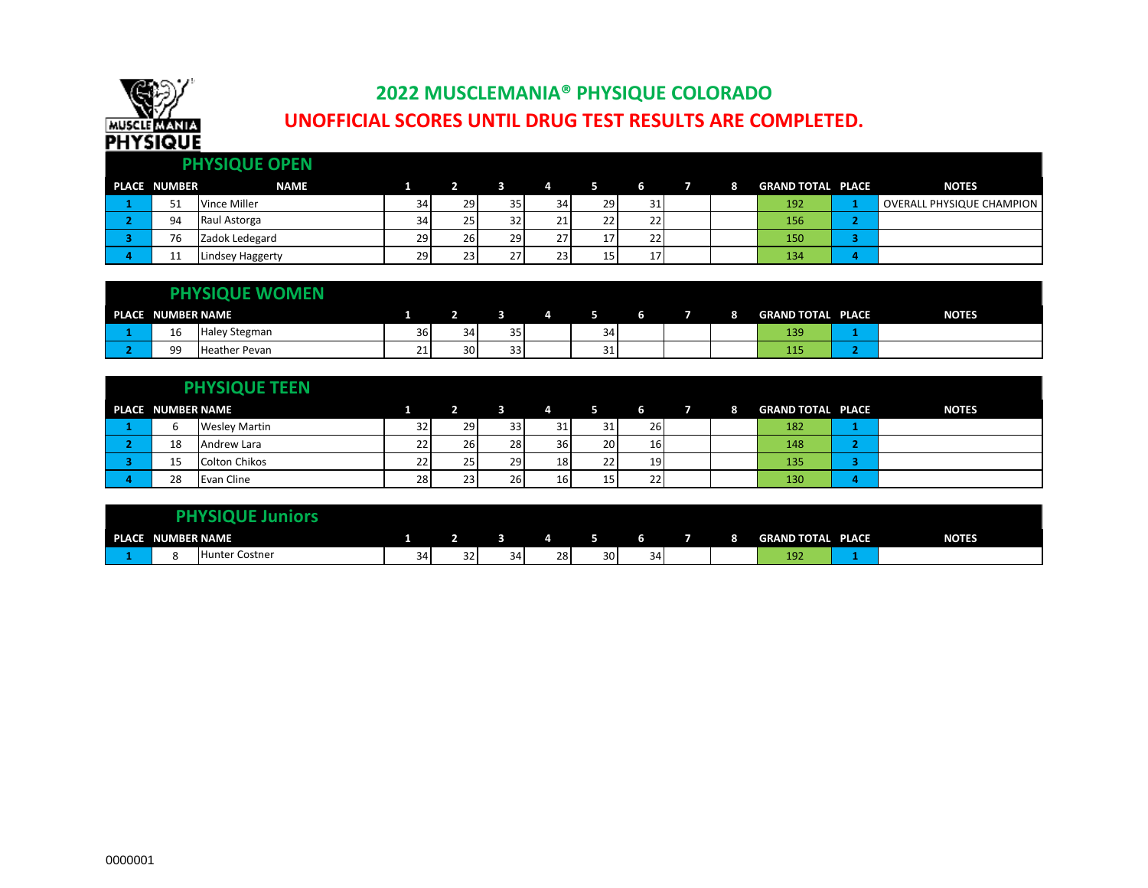

# **2022 MUSCLEMANIA® PHYSIQUE COLORADO UNOFFICIAL SCORES UNTIL DRUG TEST RESULTS ARE COMPLETED.**

|                     | <b>PHYSIQUE OPEN</b> |    |    |                 |                 |                   |    |  |                          |                                  |
|---------------------|----------------------|----|----|-----------------|-----------------|-------------------|----|--|--------------------------|----------------------------------|
| <b>PLACE NUMBER</b> | <b>NAME</b>          |    |    |                 |                 | $1$ 2 3 4 5 6 7 8 |    |  | <b>GRAND TOTAL PLACE</b> | <b>NOTES</b>                     |
| 51                  | Vince Miller         | 34 | 29 | 35 <sub>1</sub> | 34              | 29 I              | 31 |  | 192                      | <b>OVERALL PHYSIQUE CHAMPION</b> |
| 94                  | Raul Astorga         | 34 | 25 | 32              | 21              | 22 I              | 22 |  | 156                      |                                  |
| 76                  | Zadok Ledegard       | 29 | 26 | 29              | 27 <sup>1</sup> | 17 <sup>1</sup>   | 22 |  | 150                      |                                  |
| . .                 | Lindsey Haggerty     | 29 | 23 | 27              | 23              | 15 <sub>l</sub>   | 17 |  | 134                      |                                  |

|                          | <b>PHYSIQUE WOMEN</b> |    |        |              |   |        |      |   |                          |              |
|--------------------------|-----------------------|----|--------|--------------|---|--------|------|---|--------------------------|--------------|
| <b>PLACE NUMBER NAME</b> |                       |    | $\sim$ | $\mathbf{3}$ | 4 |        | . в. | 8 | <b>GRAND TOTAL PLACE</b> | <b>NOTES</b> |
| 16                       | Haley Stegman         | 36 |        | 35           |   | 34     |      |   | 139 <sup>°</sup>         |              |
| qq                       | <b>Heather Pevan</b>  | 21 | 30     | $\sim$<br>33 |   | ີ<br>ັ |      |   | 115                      |              |

|                   | <b>PHYSIQUE TEEN</b> |    |                 |    |                 |      |           |  |                          |              |
|-------------------|----------------------|----|-----------------|----|-----------------|------|-----------|--|--------------------------|--------------|
| PLACE NUMBER NAME |                      | 1  |                 |    | 2 3 4 5 6 7 8   |      |           |  | <b>GRAND TOTAL PLACE</b> | <b>NOTES</b> |
|                   | <b>Wesley Martin</b> | 32 | 291             | 33 | 31              | 31   | <b>26</b> |  | 182                      |              |
| 18                | Andrew Lara          | 22 | 26 <sub>1</sub> | 28 | 36              | 20 l | <b>16</b> |  | 148                      |              |
| 15                | <b>Colton Chikos</b> | 22 | 25              | 29 | 18 <sup>1</sup> | 22   | 19 I      |  | 135                      |              |
| 28                | Evan Cline           | 28 | 23              | 26 | 16              | 15   | 22        |  | 130                      |              |

|              |             | PHYSIOLIF<br>iors |    |    |    |    |    |    |   |                          |              |
|--------------|-------------|-------------------|----|----|----|----|----|----|---|--------------------------|--------------|
| <b>PLACE</b> | NUMBER NAME |                   |    |    |    | 4  | 5  |    | 8 | <b>GRAND TOTAL PLACE</b> | <b>NOTES</b> |
|              |             | Hunter Costner    | 34 | 32 | 34 | 28 | 30 | 34 |   | 192                      |              |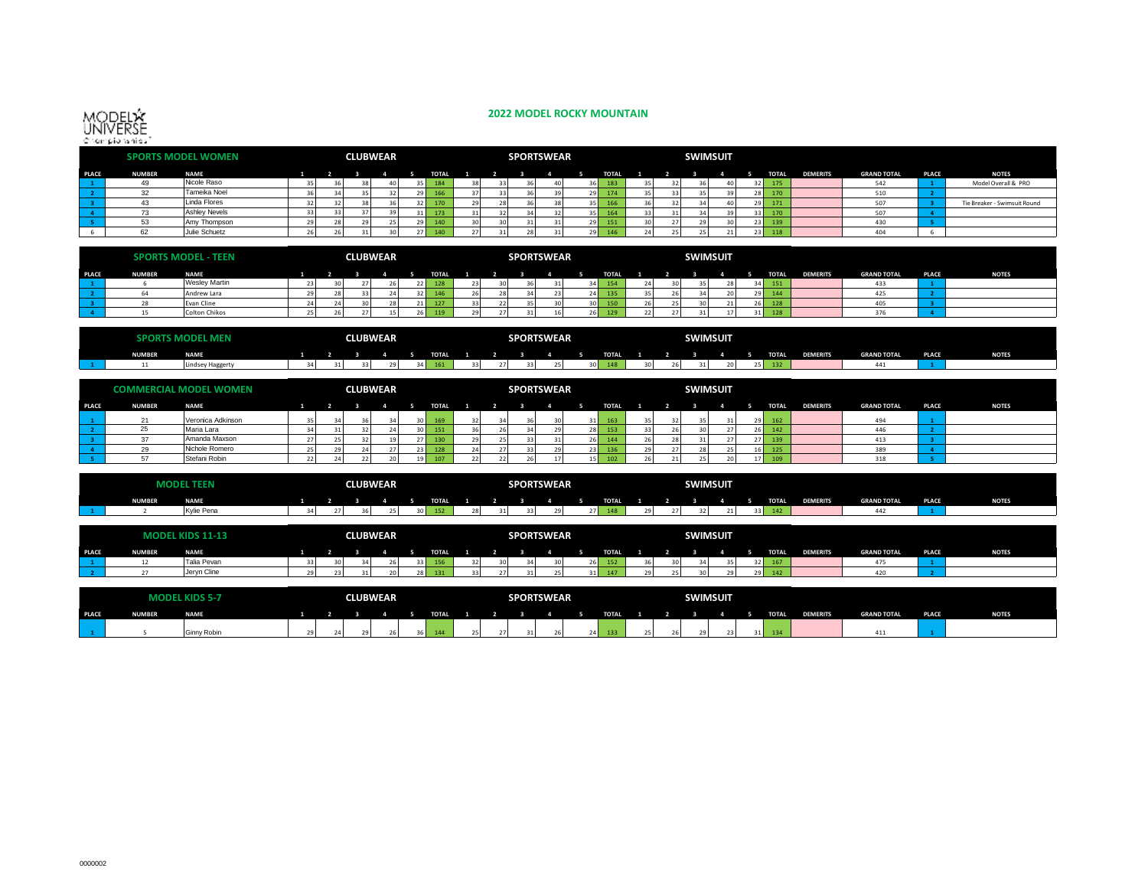#### **2022 MODEL ROCKY MOUNTAIN**



|              |               | <b>SPORTS MODEL WOMEN</b> |               |  | <b>CLUBWEAR</b> |                 |                 |  | <b>SPORTSWEAR</b> |                 |                 |  | <b>SWIMSUIT</b> |    |              |                 |                    |              |                              |
|--------------|---------------|---------------------------|---------------|--|-----------------|-----------------|-----------------|--|-------------------|-----------------|-----------------|--|-----------------|----|--------------|-----------------|--------------------|--------------|------------------------------|
| <b>PLACE</b> | <b>NUMBER</b> | <b>NAME</b>               |               |  |                 |                 | <b>TOTAL</b>    |  |                   |                 | <b>TOTAL</b>    |  |                 |    | <b>TOTAL</b> | <b>DEMERITS</b> | <b>GRAND TOTAL</b> | <b>PLACE</b> | <b>NOTES</b>                 |
|              |               | Nicole Raso               |               |  |                 | 35              | 184             |  |                   | 36 I            | 183             |  |                 | 32 | 175          |                 | 542                |              | Model Overall & PRO          |
|              |               | Tameika Noel              |               |  |                 | 29              | 166             |  |                   | 29              | 174             |  | 25              | 28 | 170          |                 | 510                |              |                              |
|              |               | Linda Flores              | $\sim$<br>-32 |  |                 | 32 <sup>1</sup> | 170             |  |                   | 35 <sup>1</sup> |                 |  |                 | 29 | 171          |                 | EO <sup>-</sup>    |              | Tie Breaker - Swimsuit Round |
|              |               | <b>Ashley Nevels</b>      | -55           |  |                 | 31              | 17 <sup>2</sup> |  |                   | 35.             | 1C <sub>A</sub> |  |                 | 33 | 170          |                 | 507                |              |                              |
|              |               | Amy Thompson              | $\sim$        |  |                 | 29 <sub>1</sub> |                 |  |                   | 29              |                 |  | 20              | 23 | 139          |                 | 430                |              |                              |
|              |               | Julie Schuetz             | 26            |  |                 | 27 <sup>1</sup> |                 |  |                   | 29              | 146             |  | 25              | 23 | 118          |                 | 404                |              |                              |

|              | <b>URTS MODEL</b> |                      |  | <b>CLUBWEAR</b> |                 |              |  |     | <b>SPORTSWEAR</b> |       |              |           | <b>SWIMSUIT</b> |      |              |                 |                    |              |              |
|--------------|-------------------|----------------------|--|-----------------|-----------------|--------------|--|-----|-------------------|-------|--------------|-----------|-----------------|------|--------------|-----------------|--------------------|--------------|--------------|
| <b>PLACE</b> | <b>NUMBER</b>     | <b>NAME</b>          |  |                 |                 | <b>TOTAL</b> |  |     |                   |       | <b>TOTAL</b> |           |                 |      | <b>TOTAL</b> | <b>DEMERITS</b> | <b>GRAND TOTAL</b> | <b>PLACE</b> | <b>NOTES</b> |
|              |                   | <b>Wesley Martin</b> |  |                 | 22 <sup>1</sup> |              |  |     |                   | 2 A L |              | 20<br>JU. | 35 L            | 24 L | 151          |                 | 433                |              |              |
|              |                   | Andrew Lara          |  | $^{\circ}$      | 221<br>34       |              |  | 211 |                   | 24    |              |           | 34              | 29 L | 144          |                 | .                  |              |              |
|              |                   | Evan Cline           |  |                 | 21              |              |  |     | $\Omega$          |       |              | 25<br>.   | JU.             | 20 L | 128          |                 | 403                |              |              |
|              |                   | Colton Chikos        |  |                 |                 |              |  | 31  |                   | 26    |              |           | 31              |      | 128<br>31 F  |                 |                    |              |              |

|               |                                     |  | CLUBWEAR |             |              |  | <b>SPORTSWEAR</b> |              |  | SWIMSUIT |  |              |                 |                           |              |              |
|---------------|-------------------------------------|--|----------|-------------|--------------|--|-------------------|--------------|--|----------|--|--------------|-----------------|---------------------------|--------------|--------------|
| <b>NUMBER</b> | <b>NAME</b>                         |  |          |             | <b>TOTAL</b> |  |                   | <b>TOTAL</b> |  |          |  | <b>TOTAL</b> | <b>DEMERITS</b> | <b><i>GRAND TOTAL</i></b> | <b>PLACE</b> | <b>NOTES</b> |
|               | <b>La mana</b><br>люзет г<br>ום בצפ |  |          | $\sim$<br>. |              |  |                   |              |  |          |  |              |                 |                           |              |              |

|              |               | COMMERCIAL MODEL WOMEN |    |  | CLUBWEAR |    |              |             |               |    | <b>SPORTSWEAR</b> |           |              |        |    | <b>SWIMSUIT</b> |                 |              |                 |                    |              |              |
|--------------|---------------|------------------------|----|--|----------|----|--------------|-------------|---------------|----|-------------------|-----------|--------------|--------|----|-----------------|-----------------|--------------|-----------------|--------------------|--------------|--------------|
| <b>PLACE</b> | <b>NUMBER</b> | <b>NAME</b>            |    |  |          |    | <b>TOTAL</b> |             |               |    |                   |           | <b>TOTAL</b> |        |    |                 |                 | <b>TOTAL</b> | <b>DEMERITS</b> | <b>GRAND TOTAL</b> | <b>PLACE</b> | <b>NOTES</b> |
|              |               | Veronica Adkinson      |    |  | 21       | 20 |              |             |               | 36 |                   | 31        | 163          | 35     | 22 |                 | 29              | 162          |                 | 494                |              |              |
|              |               | Maria Lara             |    |  | 24       | 30 |              |             |               | 34 |                   |           | 153          |        |    |                 | 26              | 142          |                 | 446                |              |              |
|              |               | Amanda Maxson          |    |  |          | 27 |              |             |               | 33 |                   |           | 144          |        | 29 |                 | 27              | 139          |                 | 413                |              |              |
|              |               | Nichole Romero         |    |  |          | 23 | 128          |             |               | 33 |                   | 23<br>. . | 136          | $\sim$ |    |                 | 16              | 125          |                 | 389                |              |              |
|              |               | Stefani Robin          | -4 |  |          | 19 |              | $22 \times$ | $\sim$<br>221 | 26 |                   | 1 S I     | 102          |        |    |                 | 17 <sup>1</sup> | 109          |                 | 318                |              |              |

|               |                         |    |  | CLUBWEAR |      |              |  | <b>SPORTSWEAR</b> |        |              |  | <b>SWIMSUIT</b> |      |              |                 |                    |              |              |
|---------------|-------------------------|----|--|----------|------|--------------|--|-------------------|--------|--------------|--|-----------------|------|--------------|-----------------|--------------------|--------------|--------------|
| <b>NUMBER</b> | <b>NAME</b>             |    |  |          |      | <b>TOTAL</b> |  |                   |        | <b>TOTAL</b> |  |                 |      | <b>TOTAL</b> | <b>DEMERITS</b> | <b>GRAND TOTAL</b> | <b>PLACE</b> | <b>NOTES</b> |
|               | $16.41 -$<br>Kylie Pena | 34 |  |          | 30 L | 152          |  | -                 | $\sim$ | ᄁ            |  | 221<br>34 I     | 33 I | A            |                 |                    |              |              |

|              | DDEL          | 1. KIDS 11-1.      |    |  | CLUBWEAR |    |              |  | <b>SPORTSWEAR</b> |      |              |  | <b>SWIMSUIT</b> |                                |              |                 |                    |              |              |
|--------------|---------------|--------------------|----|--|----------|----|--------------|--|-------------------|------|--------------|--|-----------------|--------------------------------|--------------|-----------------|--------------------|--------------|--------------|
| <b>PLACE</b> | <b>NUMBER</b> | <b>NAME</b>        |    |  |          |    | <b>TOTAL</b> |  |                   |      | <b>TOTAL</b> |  |                 |                                | <b>TOTAL</b> | <b>DEMERITS</b> | <b>GRAND TOTAL</b> | <b>PLACE</b> | <b>NOTES</b> |
|              |               | <b>Talia Pevan</b> | -- |  |          | 33 | .            |  |                   | 26 L | 152          |  |                 | 32 <sub>1</sub>                | -16.         |                 |                    |              |              |
|              |               | Jervn Cline        |    |  |          | 28 |              |  |                   | 31   |              |  |                 | $\sim$ $\sim$ $\sim$<br>, ., . |              |                 |                    |              |              |

|              | m             |             |  |               | CLUBWEAR |              |            |    | <b>SPORTSWEAR</b> |           |              |                      |  | SWIMSUIT |    |              |                 |                              |              |              |
|--------------|---------------|-------------|--|---------------|----------|--------------|------------|----|-------------------|-----------|--------------|----------------------|--|----------|----|--------------|-----------------|------------------------------|--------------|--------------|
| <b>PLACE</b> | <b>NUMBER</b> | <b>NAME</b> |  |               |          | <b>TOTAL</b> |            |    |                   |           | <b>TOTAL</b> |                      |  |          |    | <b>TOTAL</b> | <b>DEMERITS</b> | <b>TOTAL</b><br><b>GRAND</b> | <b>PLACE</b> | <b>NOTES</b> |
|              |               | Ginny Robi  |  | $\sim$<br>29. |          | 36<br>A      | $-1$<br>22 | 27 | -                 | <b>AL</b> | 133          | $\sim$ $\sim$<br>. . |  |          | 31 | 134          |                 | 411                          |              |              |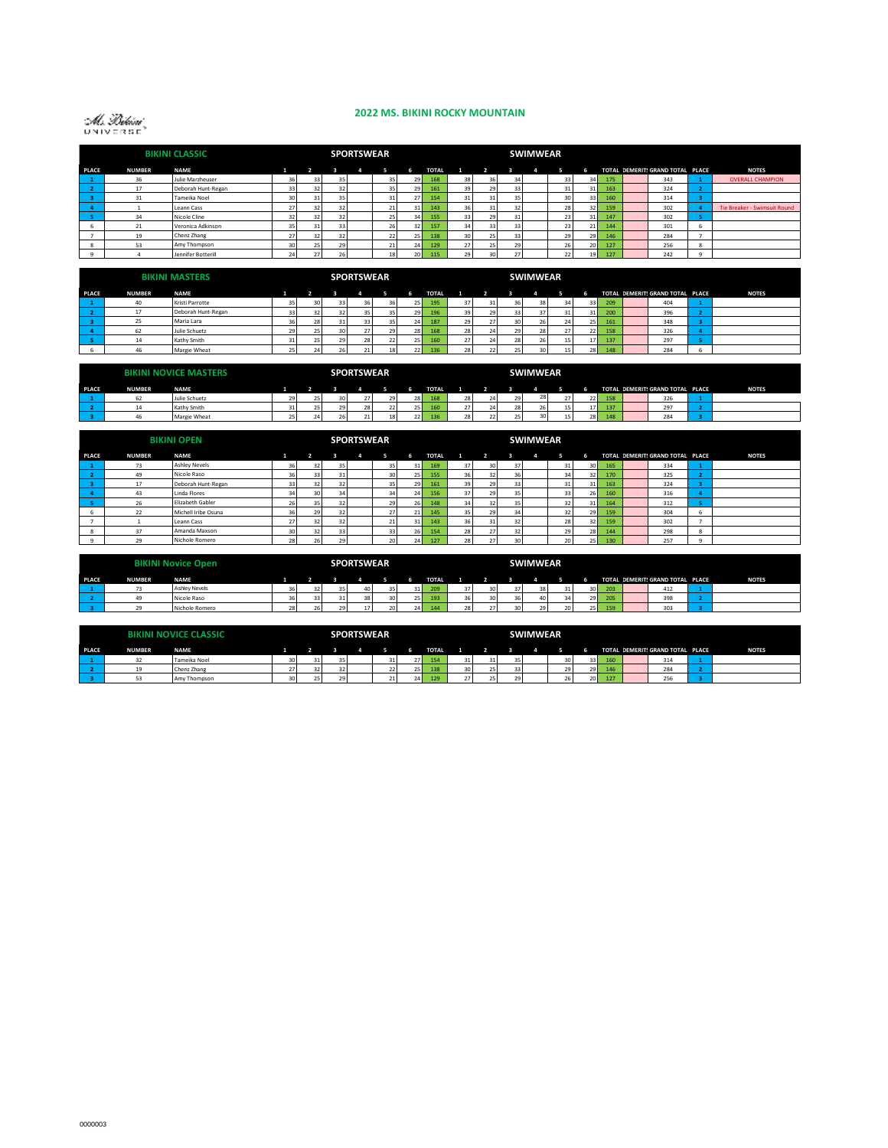#### **2022 MS. BIKINI ROCKY MOUNTAIN**

M. *Délain*<br>on in creac

|              |               | <b>BIKINI CLASSIC</b> |    |               |    | <b>SPORTSWEAR</b> |    |    |              |                 |    |    | <b>SWIMWEAR</b> |    |                 |     |                                  |              |                              |
|--------------|---------------|-----------------------|----|---------------|----|-------------------|----|----|--------------|-----------------|----|----|-----------------|----|-----------------|-----|----------------------------------|--------------|------------------------------|
| <b>PLACE</b> | <b>NUMBER</b> | <b>NAME</b>           |    |               |    |                   |    |    | <b>TOTAL</b> |                 |    |    |                 |    |                 |     | TOTAL DEMERIT: GRAND TOTAL PLACE |              | <b>NOTES</b>                 |
|              | 36            | Julie Marzheuser      | 36 | 33            |    |                   | 35 | 29 | 168          | 38              | 36 | 34 |                 | 33 | 34 <sup>1</sup> | 175 | 343                              |              | <b>OVERALL CHAMPION</b>      |
|              | 17            | Deborah Hunt-Regan    | 33 |               | 32 |                   | 35 | 29 | 161          | 39              | 29 | 33 |                 | 31 | 31              | 163 | 324                              |              |                              |
|              | 31            | Tameika Noel          | 30 |               | 35 |                   | 31 | 27 | 154          | 31              | 31 | 35 |                 | 30 | 33 <sup>1</sup> | 160 | 314                              |              |                              |
|              |               | Leann Cass            | 27 | 321           | 32 |                   | 21 | 31 | 143          | 36              | 31 | 32 |                 | 28 | 32 <sub>1</sub> | 159 | 302                              |              | Tie Breaker - Swimsuit Round |
|              | 34            | Nicole Cline          | 32 | 321           | 32 |                   | 25 | 34 | 155          | 33              | 29 | 31 |                 | 23 | 31              | 147 | 302                              |              |                              |
|              | 21            | Veronica Adkinson     | 35 |               | 33 |                   | 26 | 32 | 157          | 34              | 33 | 33 |                 | 23 | 21              | 144 | 301                              |              |                              |
|              | 19            | Chenz Zhang           | 27 | $32^{\circ}$  | 32 |                   | 22 | 25 | 138          | 30 <sup>1</sup> | 25 | 33 |                 | 29 | 29              | 146 | 284                              |              |                              |
|              | 53            | Amy Thompson          | 30 | $\sim$<br>25. | 29 |                   | 21 | 24 | 129          | 27              | 25 | 29 |                 | 26 | 20 <sup>1</sup> | 127 | 256                              | $\mathbf{R}$ |                              |
|              |               | Jennifer Botterill    | 24 | 27            | 26 |                   | 18 | 20 | 115          | 29              | 30 | 27 |                 | 22 | 19              | 127 | 242                              |              |                              |

|       |               | <b>BIKINI MASTERS</b> |    |                 |    | <b>SPORTSWEAR</b> |     |                 |                  |    |     |    | <b>SWIMWEAR</b> |    |                 |     |                                  |              |
|-------|---------------|-----------------------|----|-----------------|----|-------------------|-----|-----------------|------------------|----|-----|----|-----------------|----|-----------------|-----|----------------------------------|--------------|
| PLACE | <b>NUMBER</b> | <b>NAME</b>           |    |                 |    |                   |     |                 | <b>TOTAL</b>     |    |     |    |                 |    | ъ.              |     | TOTAL DEMERIT! GRAND TOTAL PLACE | <b>NOTES</b> |
|       | 40            | Kristi Parrotte       | 35 | 30 <sup>1</sup> | રર | 36                | 36  | 25 <sub>1</sub> | 195 <sup>3</sup> |    | 31  | 36 | 38              | 34 | 33 <sup>1</sup> | 209 | 404                              |              |
|       |               | Deborah Hunt-Regan    | 33 | 32              |    |                   | 351 | 29              | 196              |    | 29  | 33 | 37              | 31 | 31              | 200 | 396                              |              |
|       |               | Maria Lara            | 36 | 28              |    |                   | 351 | 24              | 187              |    |     | 20 | 26              | 24 | 25 <sub>1</sub> | 161 | 348                              |              |
|       |               | Julie Schuetz         | 29 | n.e<br>25       |    |                   | 29  | 28              | 168              | 28 | 24  | 29 | 28              | 27 | 22              | 158 | 326                              |              |
|       |               | Kathy Smith           | 31 | 25              |    | 28                | 22  | $\sim$<br>25 F  | 160 <sup>1</sup> |    | 24  | 28 | 26              |    | 17              | 137 | 297                              |              |
|       |               | Margie Wheat          | 25 | 24              |    |                   | 18  | 22              | 136              |    | 221 |    | 30              |    | 28              | 148 | 284                              |              |

|       |               | <b>BIKINI NOVICE MASTERS</b> |    |     |    | <b>SPORTSWEAR</b> |                 |              |     |             |        | <b>SWIMWEAR</b> |     |                 |     |                                  |              |
|-------|---------------|------------------------------|----|-----|----|-------------------|-----------------|--------------|-----|-------------|--------|-----------------|-----|-----------------|-----|----------------------------------|--------------|
| PLACE | <b>NUMBER</b> | NAME <sup>1</sup>            |    |     |    |                   |                 | <b>TOTAL</b> |     |             |        |                 |     |                 |     | TOTAL DEMERIT! GRAND TOTAL PLACE | <b>NOTES</b> |
|       |               | Julie Schuetz                |    | ້   |    |                   | 28              | 168          | 20. | $\sim$      | 201    | 40              | 27  | 22 <sub>1</sub> | 158 | 326                              |              |
|       |               | Kathy Smith                  | 31 | 23. | 29 | 28                | 25 <sub>1</sub> | 160          |     | $\sim$<br>- | 28     |                 |     | 17              | 137 | 297                              |              |
|       |               | Margie Wheat                 |    |     | 26 | 21                | 22 <sub>1</sub> | 136          | 28. | 22          | $\sim$ |                 | 151 | 28              | 148 | 284                              |              |

|              |               | <b>BIKINI OPEN</b>   |    |                 |                     | <b>SPORTSWEAR</b> |    |    |              |    |                 |    | <b>SWIMWEAR</b> |    |                 |     |                                  |              |              |
|--------------|---------------|----------------------|----|-----------------|---------------------|-------------------|----|----|--------------|----|-----------------|----|-----------------|----|-----------------|-----|----------------------------------|--------------|--------------|
| <b>PLACE</b> | <b>NUMBER</b> | <b>NAME</b>          |    |                 |                     |                   |    |    | <b>TOTAL</b> |    |                 |    |                 |    | 6               |     | TOTAL DEMERIT: GRAND TOTAL PLACE |              | <b>NOTES</b> |
|              | 73            | <b>Ashley Nevels</b> | 36 | 32              | 35                  |                   | 35 | 31 | 169          | 37 | 30 <sup>1</sup> | 37 |                 | 31 | 30 <sup>1</sup> | 165 | 334                              |              |              |
|              | 49            | Nicole Raso          | 36 | 33              | 31                  |                   | 30 | 25 | 155          | 36 | 32              | 36 |                 | 34 | 32 <sub>1</sub> | 170 | 325                              |              |              |
|              | 17            | Deborah Hunt-Regan   | 33 | 32              | 32                  |                   | 35 | 29 | 161          | 39 | 29              | 33 |                 | 31 | 31              | 163 | 324                              |              |              |
|              | 43            | Linda Flores         | 34 | 30 <sup>1</sup> | 34                  |                   | 34 | 24 | 156          | 37 | 29              | 35 |                 | 33 | 26              | 160 | 316                              |              |              |
|              | 26            | Elizabeth Gabler     | 26 | 35              | 32                  |                   | 29 | 26 | 148          | 34 | 32              | 35 |                 | 32 | 31              | 164 | 312                              |              |              |
|              | 22            | Michell Iribe Osuna  | 36 | 29              | 32                  |                   | 27 | 21 | 145          | 35 | 29              | 34 |                 | 32 | 29              | 159 | 304                              |              |              |
|              |               | Leann Cass           | 27 | 32              | 32                  |                   | 21 | 31 | 143          | 36 | 31              | 32 |                 | 28 | 32 <sub>1</sub> | 159 | 302                              |              |              |
|              | 37            | Amanda Maxson        | 30 | 32              | 33                  |                   | 33 | 26 | 154          | 28 | 27              | 32 |                 | 29 | 28              | 144 | 298                              | $\mathbf{R}$ |              |
|              | 29            | Nichole Romero       | 28 | 26              | $\mathcal{F}$<br>25 |                   | 20 | 24 | 127          | 28 | 27              | 30 |                 | 20 | 25              | 130 | 257                              |              |              |

|                             |               | <b>BIKINI Novice Open</b> |     |    | <b>SPORTSWEAR</b> |           |              |    |        | <b>SWIMWEAR</b> |    |                 |             |                                  |              |
|-----------------------------|---------------|---------------------------|-----|----|-------------------|-----------|--------------|----|--------|-----------------|----|-----------------|-------------|----------------------------------|--------------|
| PLACE                       | <b>NUMBER</b> | <b>NAME</b>               |     |    |                   |           | <b>TOTAL</b> |    |        |                 |    |                 |             | TOTAL DEMERIT! GRAND TOTAL PLACE | <b>NOTES</b> |
| <b>Contract</b>             |               | Ashley Nevels             | 36  |    | 40                | 31        | 209          |    |        |                 |    | 30 <sup>1</sup> | 203         | 412                              |              |
| <b>The Contract Service</b> | 42            | Nicole Raso               | 361 |    | $\sim$            | -<br>25 I | 193          |    |        |                 |    | 29              | 200<br>-205 | 398                              |              |
|                             |               | Nichole Romero            | 28  | 29 |                   | 24        | 1AA          | 28 | <br>30 | 22.5<br>29      | 20 | 25              | 159         | 303                              |              |

|              |               | <b>BIKINI NOVICE CLASSIC</b> |        |               |    | <b>SPORTSWEAR</b> |    |                 |              |                    |              |     | <b>SWIMWEAR</b> |        |                 |     |                                  |              |
|--------------|---------------|------------------------------|--------|---------------|----|-------------------|----|-----------------|--------------|--------------------|--------------|-----|-----------------|--------|-----------------|-----|----------------------------------|--------------|
| <b>PLACE</b> | <b>NUMBER</b> | <b>NAME</b>                  |        |               |    |                   |    | -6              | <b>TOTAL</b> | $1 \t2 \t3$        |              |     | $\mathbf{a}$    |        | . .             |     | TOTAL DEMERIT! GRAND TOTAL PLACE | <b>NOTES</b> |
|              | 32            | Tameika Noel                 | 30     | $\sim$<br>ـــ | 35 |                   |    | 27              | 154          | 311                | ـ د          | 351 |                 |        | 33 <sup>1</sup> | 160 | 314                              |              |
|              | д.,           | Chenz Zhang                  | 27     | 32<br>-       |    |                   | 22 | 25 <sub>1</sub> | 138          | 30                 | $25^{\circ}$ |     |                 | $29 -$ | 29              | 146 | 284                              |              |
|              | c.            | Amy Thompson                 | <br>30 | -<br>25       | 23 |                   |    | 24              | 129          | <br>$\mathcal{L}I$ |              |     |                 |        | 20 <sup>1</sup> | 127 | 256                              |              |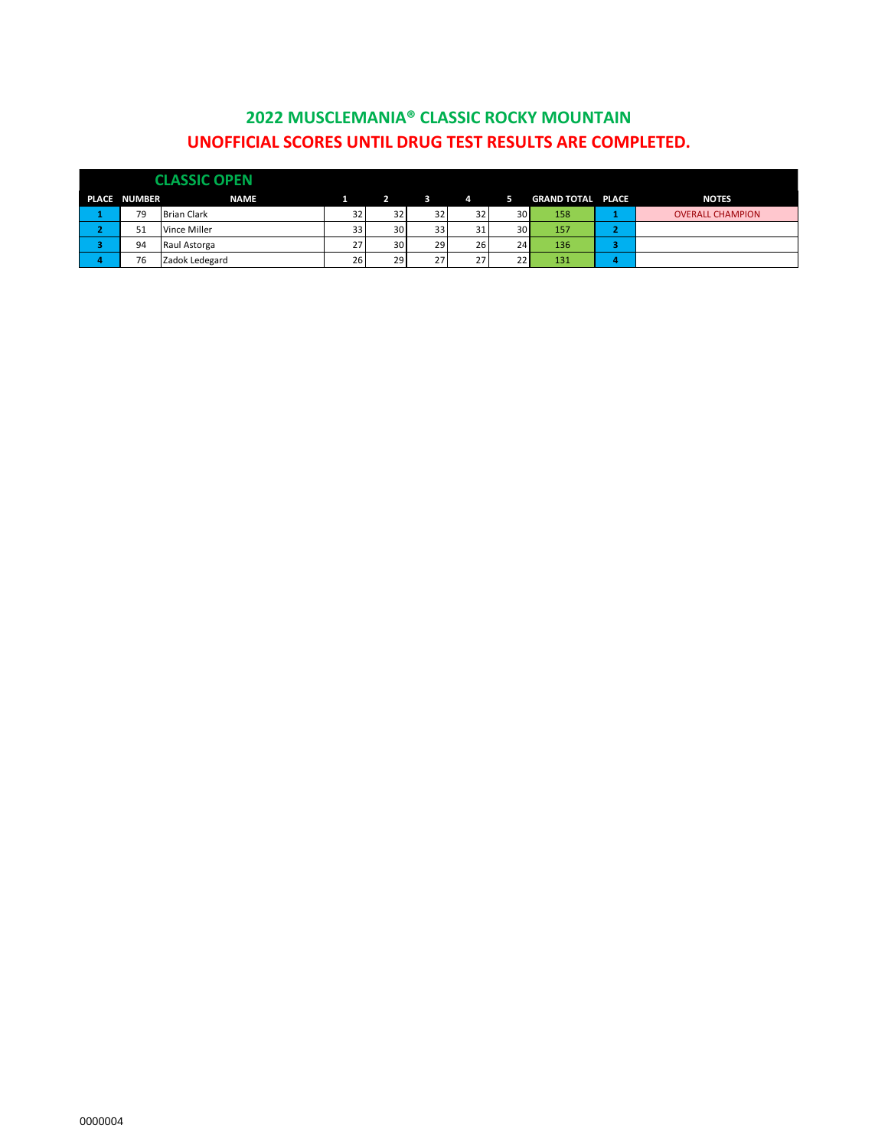### **2022 MUSCLEMANIA® CLASSIC ROCKY MOUNTAIN UNOFFICIAL SCORES UNTIL DRUG TEST RESULTS ARE COMPLETED.**

|                     | <b>CLASSIC OPEN</b> |                 |                |      |    |                 |                          |   |                         |
|---------------------|---------------------|-----------------|----------------|------|----|-----------------|--------------------------|---|-------------------------|
| <b>PLACE NUMBER</b> | <b>NAME</b>         |                 | $\overline{2}$ | - 3. | 4  | -5              | <b>GRAND TOTAL PLACE</b> |   | <b>NOTES</b>            |
| 79                  | <b>Brian Clark</b>  | 32 <sub>1</sub> | 32             | 32   | 32 | 30 <sup>1</sup> | 158                      |   | <b>OVERALL CHAMPION</b> |
| 51                  | Vince Miller        | 33              | 30             | 33   | 31 | 30 <sup>1</sup> | 157                      |   |                         |
| 94                  | Raul Astorga        |                 | 30             | 29   | 26 | 24              | 136                      |   |                         |
| 76                  | Zadok Ledegard      | 26              | 29             | 27   | 27 | 22              | 131                      | д |                         |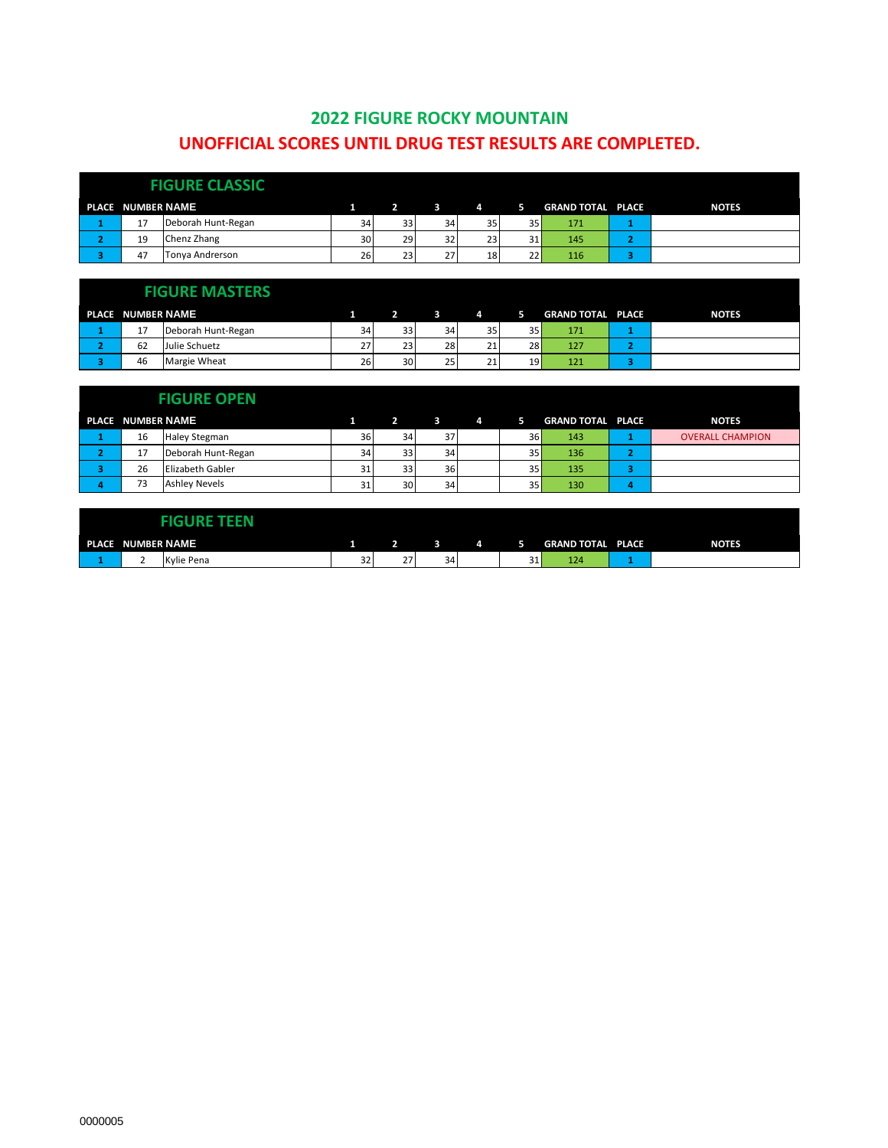# **UNOFFICIAL SCORES UNTIL DRUG TEST RESULTS ARE COMPLETED. 2022 FIGURE ROCKY MOUNTAIN**

|                   | <b>FIGURE CLASSIC</b> |    |                         |                 |                |                 |                          |              |
|-------------------|-----------------------|----|-------------------------|-----------------|----------------|-----------------|--------------------------|--------------|
| PLACE NUMBER NAME |                       |    | $\overline{\mathbf{2}}$ | 3               | $\overline{a}$ | -5              | <b>GRAND TOTAL PLACE</b> | <b>NOTES</b> |
| ⊥                 | Deborah Hunt-Regan    | 34 | 33                      | 34              | 35             | 35 <sub>1</sub> | 171                      |              |
| 19                | Chenz Zhang           | 30 | 29                      | 32 <sub>1</sub> | 23             | 31              | 145                      |              |
| 47                | Tonya Andrerson       | 26 | 23                      | 27              | 18             | 22 <sub>1</sub> | 116                      |              |

|                   | <b>FIGURE MASTERS</b> |    |                 |              |                |                 |                          |              |
|-------------------|-----------------------|----|-----------------|--------------|----------------|-----------------|--------------------------|--------------|
| PLACE NUMBER NAME |                       |    | $2^{\circ}$     | $\mathbf{3}$ | $\overline{a}$ | 5.              | <b>GRAND TOTAL PLACE</b> | <b>NOTES</b> |
| 17                | Deborah Hunt-Regan    | 34 | 33 <sup>1</sup> | 34           | 351            | 35 <sub>1</sub> | 171                      |              |
| 62                | Julie Schuetz         | 27 | 23              | 28           | 21             | 28              | 127                      |              |
| 46                | Margie Wheat          | 26 | 30              | 25           | 21             | 19              | 121                      |              |

|                   | <b>FIGURE OPEN</b>      |    |                |     |   |    |                          |                         |
|-------------------|-------------------------|----|----------------|-----|---|----|--------------------------|-------------------------|
| PLACE NUMBER NAME |                         |    | $\overline{2}$ | 3   | 4 | 5. | <b>GRAND TOTAL PLACE</b> | <b>NOTES</b>            |
| 16                | <b>Haley Stegman</b>    | 36 | 34             | 37  |   | 36 | 143                      | <b>OVERALL CHAMPION</b> |
| 17                | Deborah Hunt-Regan      | 34 | 33             | 34  |   | 35 | 136                      |                         |
| 26                | <b>Elizabeth Gabler</b> | 31 | 33             | 361 |   | 35 | 135                      |                         |
| 73                | <b>Ashley Nevels</b>    | 31 | 30             | 34  |   | 35 | 130                      |                         |

|  | <b>HEILBE TEEN.</b> |    |    |         |                  |                          |              |
|--|---------------------|----|----|---------|------------------|--------------------------|--------------|
|  | PLACE NUMBER NAME   |    |    | 2 3 4 5 |                  | <b>GRAND TOTAL PLACE</b> | <b>NOTES</b> |
|  | Kylie Pena          | 32 | 27 | 34      | <b>01</b><br>ـ ر | 124                      |              |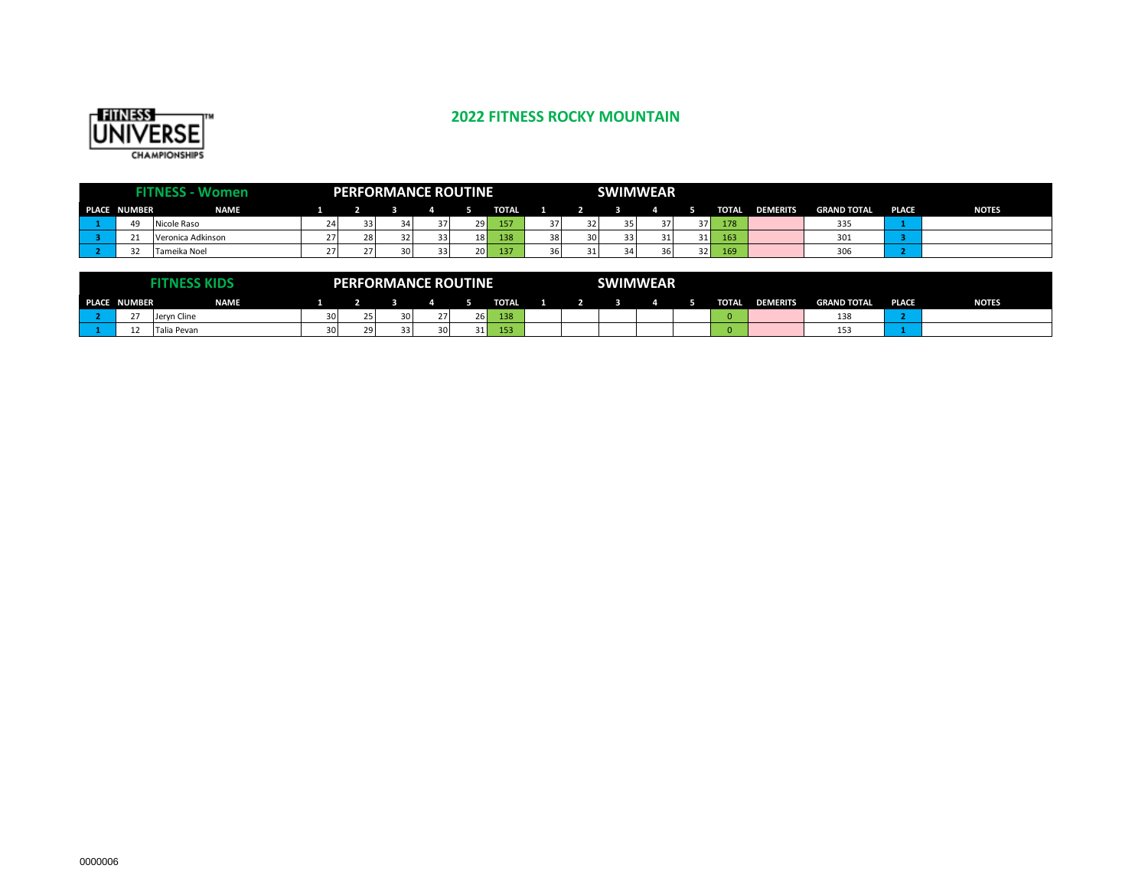

### **2022 FITNESS ROCKY MOUNTAIN**

|              | <b>FITNESS</b><br>omen |     |     |    | <b>PERFORMANCE ROUTINE</b> |           |              |    |    |    | <b>SWIMWEAR</b> |    |              |                 |                    |              |              |
|--------------|------------------------|-----|-----|----|----------------------------|-----------|--------------|----|----|----|-----------------|----|--------------|-----------------|--------------------|--------------|--------------|
| PLACE NUMBER | <b>NAME</b>            |     |     |    |                            |           | <b>TOTAL</b> |    |    |    |                 |    | <b>TOTAL</b> | <b>DEMERITS</b> | <b>GRAND TOTAL</b> | <b>PLACE</b> | <b>NOTES</b> |
| 49           | Nicole Raso            | 24  | 33  |    | 37 <sup>1</sup>            | 29        |              | 37 |    | 35 |                 | 37 | 178          |                 | 22<br>335          |              |              |
|              | Veronica Adkinson      | 271 | 28  | 32 | 33 <sup>1</sup>            | <b>18</b> | 138          | 38 | 30 | 33 | 31              | 31 | 163          |                 | 301                |              |              |
|              | Tameika Noel           |     | 271 |    | 33                         | <b>20</b> | 137          | 36 |    | 34 | 36              | 32 | 169          |                 | $\sim$<br>3Ut      |              |              |

|                |        | <b>AITNESS KIM</b> |             |    |    |    | <b>PERFORMANCE ROUTINE</b> |                 |              |  | <b>SWIMWEAR</b> |  |              |                 |                    |              |              |
|----------------|--------|--------------------|-------------|----|----|----|----------------------------|-----------------|--------------|--|-----------------|--|--------------|-----------------|--------------------|--------------|--------------|
| <b>PLACE N</b> | NUMBER |                    | <b>NAME</b> |    |    |    |                            |                 | <b>TOTAL</b> |  |                 |  | <b>TOTAL</b> | <b>DEMERITS</b> | <b>GRAND TOTAL</b> | <b>PLACE</b> | <b>NOTES</b> |
|                | $\sim$ | Jervn Cline        |             | ٩n | -- | 30 | ~-<br>. I                  | 26 <sub>1</sub> | 138          |  |                 |  |              |                 | 156                |              |              |
|                | ᅭ      | Talia Pevan        |             | 30 | 29 |    |                            | 31 I            | 153          |  |                 |  |              |                 | ᆂᆦ                 |              |              |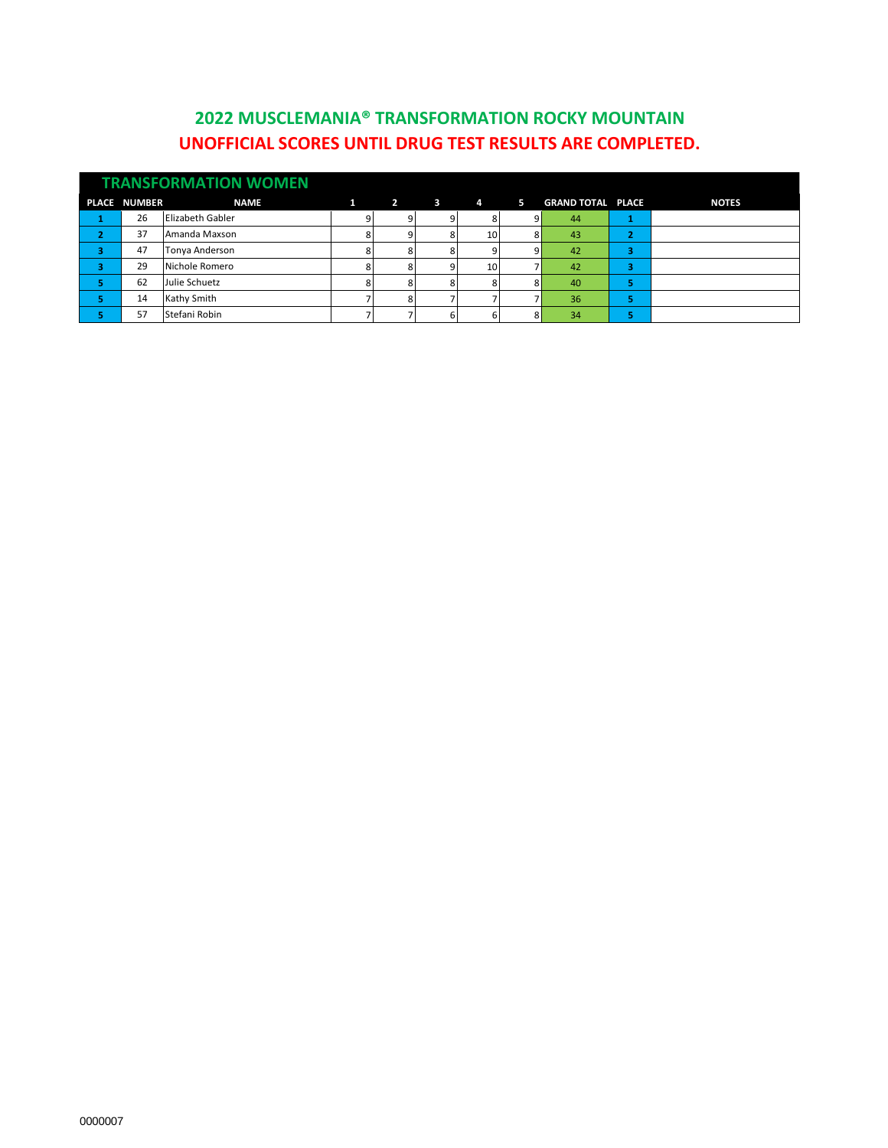## **2022 MUSCLEMANIA® TRANSFORMATION ROCKY MOUNTAIN UNOFFICIAL SCORES UNTIL DRUG TEST RESULTS ARE COMPLETED.**

|              | <b>TRANSFORMATION WOMEN</b> |   |                |                          |                 |   |                          |   |              |
|--------------|-----------------------------|---|----------------|--------------------------|-----------------|---|--------------------------|---|--------------|
| PLACE NUMBER | <b>NAME</b>                 | 1 | $\overline{2}$ | $\overline{\phantom{a}}$ | 4               | 5 | <b>GRAND TOTAL PLACE</b> |   | <b>NOTES</b> |
| 26           | Elizabeth Gabler            | 9 | 9              |                          |                 | q | 44                       |   |              |
| 37           | Amanda Maxson               | ö | 9              |                          | 10 <sup>1</sup> | 8 | 43                       | n |              |
| 47           | Tonya Anderson              |   | 8              |                          |                 | q | 42                       | з |              |
| 29           | Nichole Romero              |   | 8              |                          | 10              |   | 42                       | З |              |
| 62           | Julie Schuetz               |   | 8              |                          |                 | 8 | 40                       | 5 |              |
| 14           | Kathy Smith                 |   | 8              |                          |                 |   | 36                       | 5 |              |
| 57           | Stefani Robin               |   |                |                          |                 | 8 | 34                       |   |              |